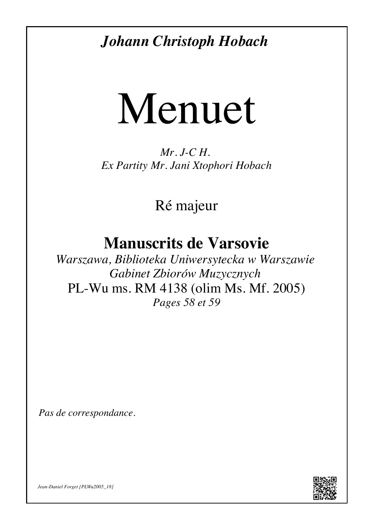*[Johann Christoph Hobach](http://jdf.luth.pagesperso-orange.fr/Musiques/Les_compositeurs/Autres_compositeurs/Hobach.htm)*

## Menuet

*Mr. J-C H. Ex Partity Mr. Jani Xtophori Hobach*

[Ré majeur](#page-2-0)

## **Manuscrits de Varsovie**

*Warszawa, Biblioteka Uniwersytecka w Warszawie Gabinet Zbiorów Muzycznych* [PL-Wu ms. RM 4138 \(olim Ms. Mf. 2005\)](http://jdf.luth.pagesperso-orange.fr/Musiques/Les_manuscrits/Varsovie/Les_manuscrits_de_Varsovie.htm#PLWu2005) *Pages 58 et 59*

*Pas de correspondance.*



*[Jean-Daniel Forget](http://jdf.luth.pagesperso-orange.fr/) [\[PLWu2005\\_18\]](http://dl.dropbox.com/u/60516846/Partitions_pour_luth_baroque/Musiques/Les_manuscrits/Varsovie/PLWu2005/Tablature/PLWu2005_18_Hobach_Menuet.pdf)*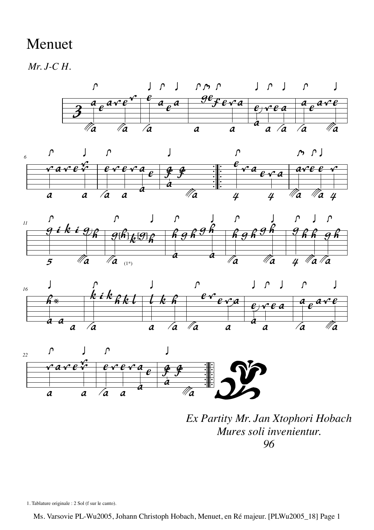## Menuet

*Mr. J-C H.*











*Ex Partity Mr. Jan Xtophori Hobach Mures soli invenientur. 96*

1. Tablature originale : 2 Sol (f sur le canto).